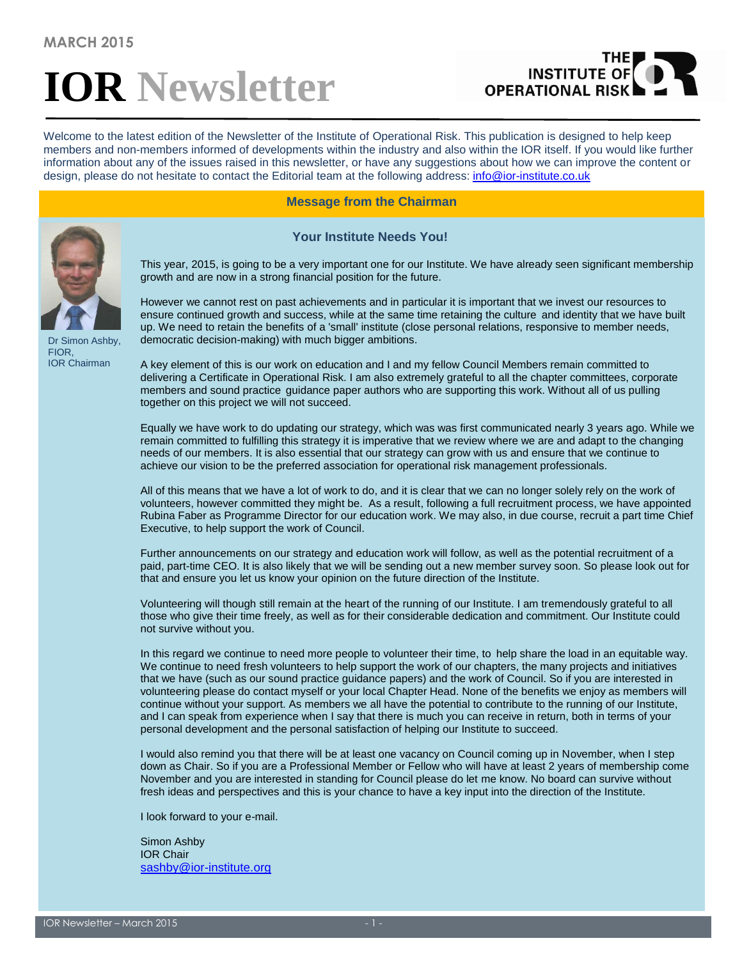# **IOR Newsletter**

# **INSTITUTE OF OPERATIONAL RIS**

Welcome to the latest edition of the Newsletter of the Institute of Operational Risk. This publication is designed to help keep members and non-members informed of developments within the industry and also within the IOR itself. If you would like further information about any of the issues raised in this newsletter, or have any suggestions about how we can improve the content or design, please do not hesitate to contact the Editorial team at the following address: [info@ior-institute.co.uk](mailto:info@ior-institute.co.uk)

**Message from the Chairman**

 **Your Institute Needs You!**

Dr Simon Ashby, FIOR, IOR Chairman

This year, 2015, is going to be a very important one for our Institute. We have already seen significant membership growth and are now in a strong financial position for the future.

However we cannot rest on past achievements and in particular it is important that we invest our resources to ensure continued growth and success, while at the same time retaining the culture and identity that we have built up. We need to retain the benefits of a 'small' institute (close personal relations, responsive to member needs, democratic decision-making) with much bigger ambitions.

A key element of this is our work on education and I and my fellow Council Members remain committed to delivering a Certificate in Operational Risk. I am also extremely grateful to all the chapter committees, corporate members and sound practice guidance paper authors who are supporting this work. Without all of us pulling together on this project we will not succeed.

Equally we have work to do updating our strategy, which was was first communicated nearly 3 years ago. While we remain committed to fulfilling this strategy it is imperative that we review where we are and adapt to the changing needs of our members. It is also essential that our strategy can grow with us and ensure that we continue to achieve our vision to be the preferred association for operational risk management professionals.

All of this means that we have a lot of work to do, and it is clear that we can no longer solely rely on the work of volunteers, however committed they might be. As a result, following a full recruitment process, we have appointed Rubina Faber as Programme Director for our education work. We may also, in due course, recruit a part time Chief Executive, to help support the work of Council.

Further announcements on our strategy and education work will follow, as well as the potential recruitment of a paid, part-time CEO. It is also likely that we will be sending out a new member survey soon. So please look out for that and ensure you let us know your opinion on the future direction of the Institute.

Volunteering will though still remain at the heart of the running of our Institute. I am tremendously grateful to all those who give their time freely, as well as for their considerable dedication and commitment. Our Institute could not survive without you.

In this regard we continue to need more people to volunteer their time, to help share the load in an equitable way. We continue to need fresh volunteers to help support the work of our chapters, the many projects and initiatives that we have (such as our sound practice guidance papers) and the work of Council. So if you are interested in volunteering please do contact myself or your local Chapter Head. None of the benefits we enjoy as members will continue without your support. As members we all have the potential to contribute to the running of our Institute, and I can speak from experience when I say that there is much you can receive in return, both in terms of your personal development and the personal satisfaction of helping our Institute to succeed.

I would also remind you that there will be at least one vacancy on Council coming up in November, when I step down as Chair. So if you are a Professional Member or Fellow who will have at least 2 years of membership come November and you are interested in standing for Council please do let me know. No board can survive without fresh ideas and perspectives and this is your chance to have a key input into the direction of the Institute.

I look forward to your e-mail.

Simon Ashby IOR Chair [sashby@ior-institute.org](mailto:sashby@ior-institute.org)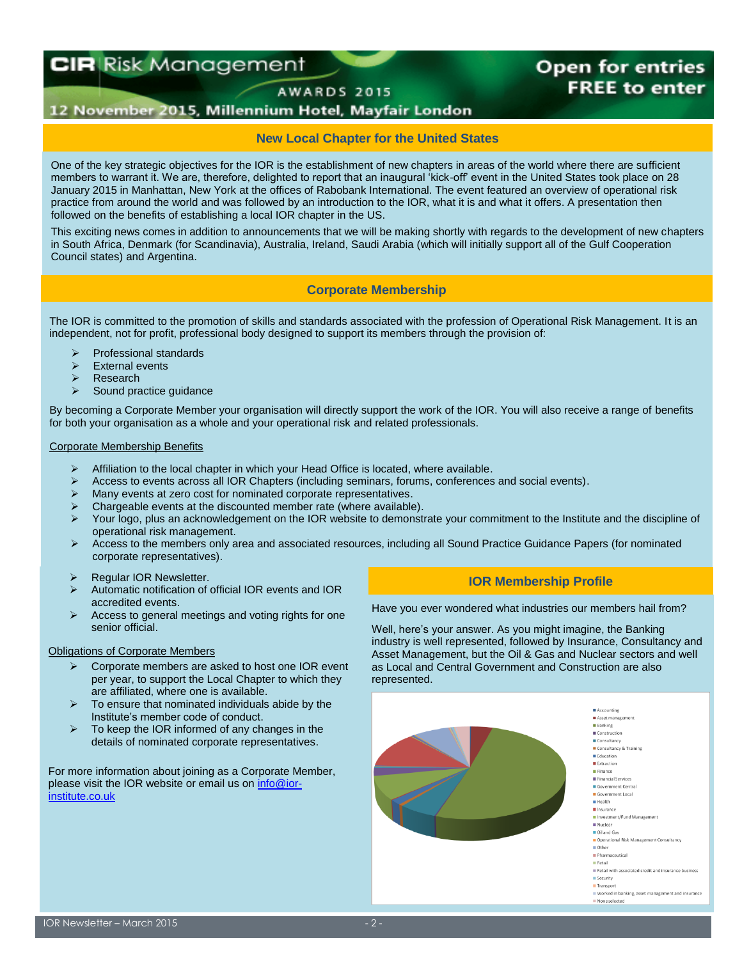# **CIR Risk Management**

## **Open for entries FREE to enter**

AWARDS 2015

#### 12 November 2015, Millennium Hotel, Mayfair London

#### **New Local Chapter for the United States**

One of the key strategic objectives for the IOR is the establishment of new chapters in areas of the world where there are sufficient members to warrant it. We are, therefore, delighted to report that an inaugural 'kick-off' event in the United States took place on 28 January 2015 in Manhattan, New York at the offices of Rabobank International. The event featured an overview of operational risk practice from around the world and was followed by an introduction to the IOR, what it is and what it offers. A presentation then followed on the benefits of establishing a local IOR chapter in the US.

This exciting news comes in addition to announcements that we will be making shortly with regards to the development of new chapters in South Africa, Denmark (for Scandinavia), Australia, Ireland, Saudi Arabia (which will initially support all of the Gulf Cooperation Council states) and Argentina.

#### **Corporate Membership**

The IOR is committed to the promotion of skills and standards associated with the profession of Operational Risk Management. It is an independent, not for profit, professional body designed to support its members through the provision of:

- Professional standards
- External events
- Research
- $\triangleright$  Sound practice quidance

By becoming a Corporate Member your organisation will directly support the work of the IOR. You will also receive a range of benefits for both your organisation as a whole and your operational risk and related professionals.

#### Corporate Membership Benefits

- $\triangleright$  Affiliation to the local chapter in which your Head Office is located, where available.
- $\triangleright$  Access to events across all IOR Chapters (including seminars, forums, conferences and social events).
- Many events at zero cost for nominated corporate representatives.
- $\triangleright$  Chargeable events at the discounted member rate (where available).
- Your logo, plus an acknowledgement on the IOR website to demonstrate your commitment to the Institute and the discipline of operational risk management.
- $\triangleright$  Access to the members only area and associated resources, including all Sound Practice Guidance Papers (for nominated corporate representatives).
- 
- Automatic notification of official IOR events and IOR accredited events.
- $\triangleright$  Access to general meetings and voting rights for one senior official.

#### Obligations of Corporate Members

- $\triangleright$  Corporate members are asked to host one IOR event per year, to support the Local Chapter to which they are affiliated, where one is available.
- $\triangleright$  To ensure that nominated individuals abide by the Institute's member code of conduct.
- $\triangleright$  To keep the IOR informed of any changes in the details of nominated corporate representatives.

For more information about joining as a Corporate Member, please visit the IOR website or email us o[n info@ior](mailto:info@ior-institute.co.uk)[institute.co.uk](mailto:info@ior-institute.co.uk)

## **IOR Membership Profile IOR Newsletter.** The Company of the Company of the Company of the Company of the Company of the Company of the Company of the Company of the Company of the Company of the Company of the Company of

Have you ever wondered what industries our members hail from?

Well, here's your answer. As you might imagine, the Banking industry is well represented, followed by Insurance, Consultancy and Asset Management, but the Oil & Gas and Nuclear sectors and well as Local and Central Government and Construction are also represented.



■ Worked in banking, asset management and insurance None selected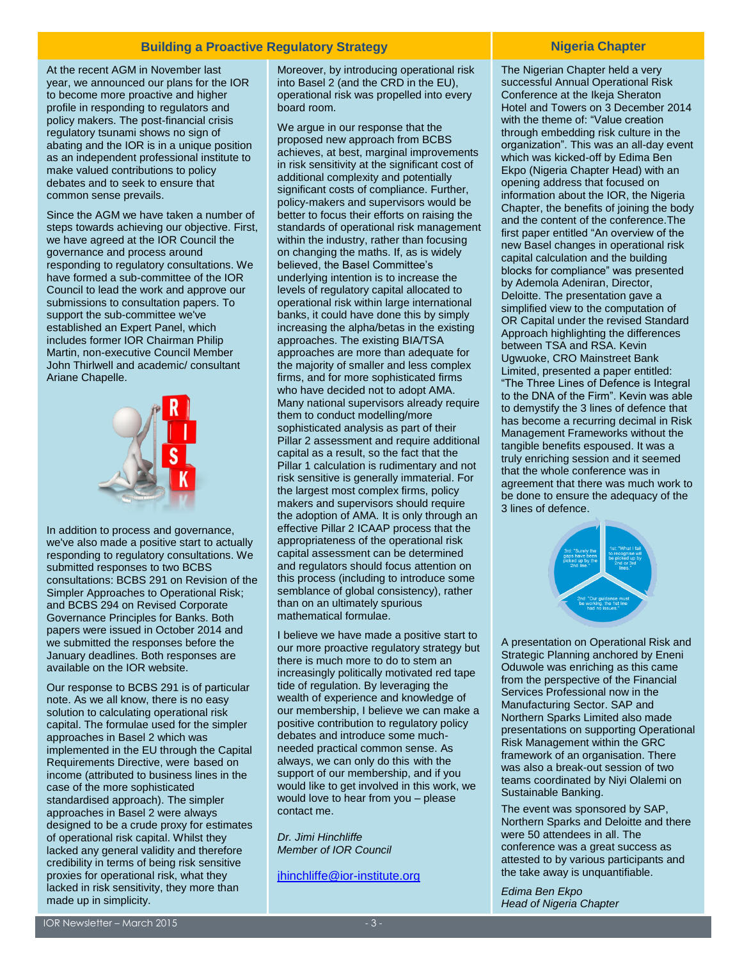#### **Building a Proactive Regulatory Strategy <b>Nigeria Chapter** Nigeria Chapter

At the recent AGM in November last year, we announced our plans for the IOR to become more proactive and higher profile in responding to regulators and policy makers. The post-financial crisis regulatory tsunami shows no sign of abating and the IOR is in a unique position as an independent professional institute to make valued contributions to policy debates and to seek to ensure that common sense prevails.

Since the AGM we have taken a number of steps towards achieving our objective. First, we have agreed at the IOR Council the governance and process around responding to regulatory consultations. We have formed a sub-committee of the IOR Council to lead the work and approve our submissions to consultation papers. To support the sub-committee we've established an Expert Panel, which includes former IOR Chairman Philip Martin, non-executive Council Member John Thirlwell and academic/ consultant Ariane Chapelle.



In addition to process and governance, we've also made a positive start to actually responding to regulatory consultations. We submitted responses to two BCBS consultations: BCBS 291 on Revision of the Simpler Approaches to Operational Risk; and BCBS 294 on Revised Corporate Governance Principles for Banks. Both papers were issued in October 2014 and we submitted the responses before the January deadlines. Both responses are available on the IOR website.

Our response to BCBS 291 is of particular note. As we all know, there is no easy solution to calculating operational risk capital. The formulae used for the simpler approaches in Basel 2 which was implemented in the EU through the Capital Requirements Directive, were based on income (attributed to business lines in the case of the more sophisticated standardised approach). The simpler approaches in Basel 2 were always designed to be a crude proxy for estimates of operational risk capital. Whilst they lacked any general validity and therefore credibility in terms of being risk sensitive proxies for operational risk, what they lacked in risk sensitivity, they more than made up in simplicity.

Moreover, by introducing operational risk into Basel 2 (and the CRD in the EU), operational risk was propelled into every board room.

We argue in our response that the proposed new approach from BCBS achieves, at best, marginal improvements in risk sensitivity at the significant cost of additional complexity and potentially significant costs of compliance. Further, policy-makers and supervisors would be better to focus their efforts on raising the standards of operational risk management within the industry, rather than focusing on changing the maths. If, as is widely believed, the Basel Committee's underlying intention is to increase the levels of regulatory capital allocated to operational risk within large international banks, it could have done this by simply increasing the alpha/betas in the existing approaches. The existing BIA/TSA approaches are more than adequate for the majority of smaller and less complex firms, and for more sophisticated firms who have decided not to adopt AMA. Many national supervisors already require them to conduct modelling/more sophisticated analysis as part of their Pillar 2 assessment and require additional capital as a result, so the fact that the Pillar 1 calculation is rudimentary and not risk sensitive is generally immaterial. For the largest most complex firms, policy makers and supervisors should require the adoption of AMA. It is only through an effective Pillar 2 ICAAP process that the appropriateness of the operational risk capital assessment can be determined and regulators should focus attention on this process (including to introduce some semblance of global consistency), rather than on an ultimately spurious mathematical formulae.

I believe we have made a positive start to our more proactive regulatory strategy but there is much more to do to stem an increasingly politically motivated red tape tide of regulation. By leveraging the wealth of experience and knowledge of our membership, I believe we can make a positive contribution to regulatory policy debates and introduce some muchneeded practical common sense. As always, we can only do this with the support of our membership, and if you would like to get involved in this work, we would love to hear from you – please contact me.

*Dr. Jimi Hinchliffe Member of IOR Council*

[jhinchliffe@ior-institute.org](mailto:jhinchliffe@ior-institute.org)

The Nigerian Chapter held a very successful Annual Operational Risk Conference at the Ikeja Sheraton Hotel and Towers on 3 December 2014 with the theme of: "Value creation through embedding risk culture in the organization". This was an all-day event which was kicked-off by Edima Ben Ekpo (Nigeria Chapter Head) with an opening address that focused on information about the IOR, the Nigeria Chapter, the benefits of joining the body and the content of the conference.The first paper entitled "An overview of the new Basel changes in operational risk capital calculation and the building blocks for compliance" was presented by Ademola Adeniran, Director, Deloitte. The presentation gave a simplified view to the computation of OR Capital under the revised Standard Approach highlighting the differences between TSA and RSA. Kevin Ugwuoke, CRO Mainstreet Bank Limited, presented a paper entitled: "The Three Lines of Defence is Integral to the DNA of the Firm". Kevin was able to demystify the 3 lines of defence that has become a recurring decimal in Risk Management Frameworks without the tangible benefits espoused. It was a truly enriching session and it seemed that the whole conference was in agreement that there was much work to be done to ensure the adequacy of the 3 lines of defence.



A presentation on Operational Risk and Strategic Planning anchored by Eneni Oduwole was enriching as this came from the perspective of the Financial Services Professional now in the Manufacturing Sector. SAP and Northern Sparks Limited also made presentations on supporting Operational Risk Management within the GRC framework of an organisation. There was also a break-out session of two teams coordinated by Niyi Olalemi on Sustainable Banking.

The event was sponsored by SAP, Northern Sparks and Deloitte and there were 50 attendees in all. The conference was a great success as attested to by various participants and the take away is unquantifiable.

*Edima Ben Ekpo Head of Nigeria Chapter*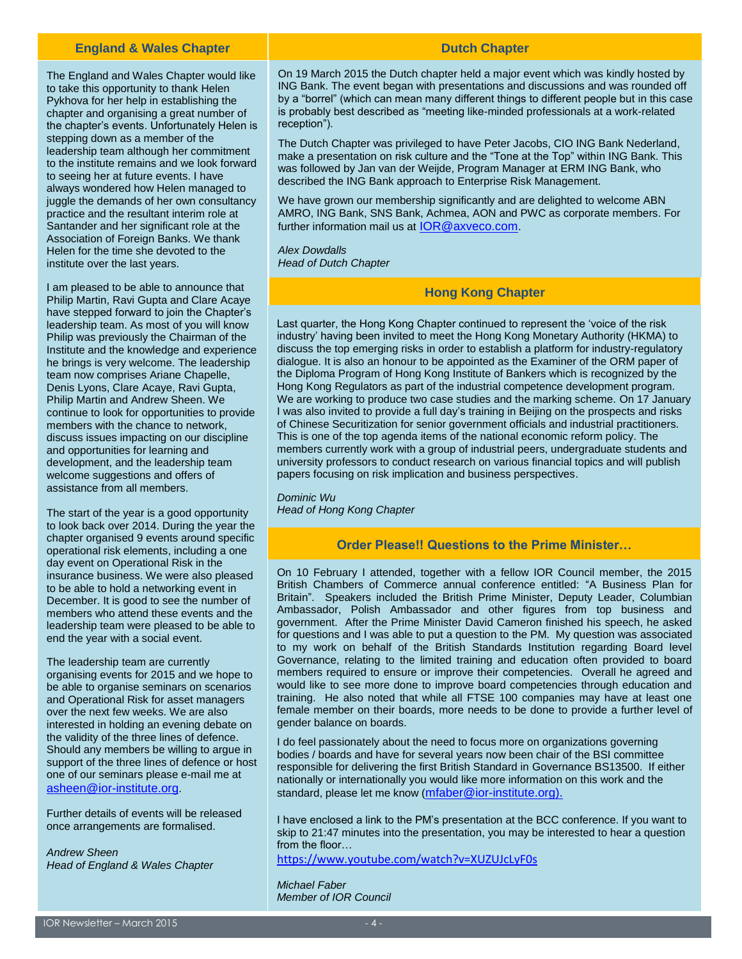#### **England & Wales Chapter**

The England and Wales Chapter would like to take this opportunity to thank Helen Pykhova for her help in establishing the chapter and organising a great number of the chapter's events. Unfortunately Helen is stepping down as a member of the leadership team although her commitment to the institute remains and we look forward to seeing her at future events. I have always wondered how Helen managed to juggle the demands of her own consultancy practice and the resultant interim role at Santander and her significant role at the Association of Foreign Banks. We thank Helen for the time she devoted to the institute over the last years.

I am pleased to be able to announce that Philip Martin, Ravi Gupta and Clare Acaye have stepped forward to join the Chapter's leadership team. As most of you will know Philip was previously the Chairman of the Institute and the knowledge and experience he brings is very welcome. The leadership team now comprises Ariane Chapelle, Denis Lyons, Clare Acaye, Ravi Gupta, Philip Martin and Andrew Sheen. We continue to look for opportunities to provide members with the chance to network, discuss issues impacting on our discipline and opportunities for learning and development, and the leadership team welcome suggestions and offers of assistance from all members.

The start of the year is a good opportunity to look back over 2014. During the year the chapter organised 9 events around specific operational risk elements, including a one day event on Operational Risk in the insurance business. We were also pleased to be able to hold a networking event in December. It is good to see the number of members who attend these events and the leadership team were pleased to be able to end the year with a social event.

The leadership team are currently organising events for 2015 and we hope to be able to organise seminars on scenarios and Operational Risk for asset managers over the next few weeks. We are also interested in holding an evening debate on the validity of the three lines of defence. Should any members be willing to argue in support of the three lines of defence or host one of our seminars please e-mail me at [asheen@ior-institute.org](mailto:asheen@ior-institute.org).

Further details of events will be released once arrangements are formalised.

*Andrew Sheen Head of England & Wales Chapter*

#### **Dutch Chapter**

On 19 March 2015 the Dutch chapter held a major event which was kindly hosted by ING Bank. The event began with presentations and discussions and was rounded off by a "borrel" (which can mean many different things to different people but in this case is probably best described as "meeting like-minded professionals at a work-related reception").

The Dutch Chapter was privileged to have Peter Jacobs, CIO ING Bank Nederland, make a presentation on risk culture and the "Tone at the Top" within ING Bank. This was followed by Jan van der Weijde, Program Manager at ERM ING Bank, who described the ING Bank approach to Enterprise Risk Management.

We have grown our membership significantly and are delighted to welcome ABN AMRO, ING Bank, SNS Bank, Achmea, AON and PWC as corporate members. For further information mail us at [IOR@axveco.com](mailto:IOR@axveco.com).

*Alex Dowdalls Head of Dutch Chapter*

#### **Hong Kong Chapter**

Last quarter, the Hong Kong Chapter continued to represent the 'voice of the risk industry' having been invited to meet the Hong Kong Monetary Authority (HKMA) to discuss the top emerging risks in order to establish a platform for industry-regulatory dialogue. It is also an honour to be appointed as the Examiner of the ORM paper of the Diploma Program of Hong Kong Institute of Bankers which is recognized by the Hong Kong Regulators as part of the industrial competence development program. We are working to produce two case studies and the marking scheme. On 17 January I was also invited to provide a full day's training in Beijing on the prospects and risks of Chinese Securitization for senior government officials and industrial practitioners. This is one of the top agenda items of the national economic reform policy. The members currently work with a group of industrial peers, undergraduate students and university professors to conduct research on various financial topics and will publish papers focusing on risk implication and business perspectives.

*Dominic Wu Head of Hong Kong Chapter*

#### **Order Please!! Questions to the Prime Minister…**

On 10 February I attended, together with a fellow IOR Council member, the 2015 British Chambers of Commerce annual conference entitled: "A Business Plan for Britain". Speakers included the British Prime Minister, Deputy Leader, Columbian Ambassador, Polish Ambassador and other figures from top business and government. After the Prime Minister David Cameron finished his speech, he asked for questions and I was able to put a question to the PM. My question was associated to my work on behalf of the British Standards Institution regarding Board level Governance, relating to the limited training and education often provided to board members required to ensure or improve their competencies. Overall he agreed and would like to see more done to improve board competencies through education and training. He also noted that while all FTSE 100 companies may have at least one female member on their boards, more needs to be done to provide a further level of gender balance on boards.

I do feel passionately about the need to focus more on organizations governing bodies / boards and have for several years now been chair of the BSI committee responsible for delivering the first British Standard in Governance BS13500. If either nationally or internationally you would like more information on this work and the standard, please let me know ([mfaber@ior-institute.org\)](mailto:mfaber@ior-institute.org).

I have enclosed a link to the PM's presentation at the BCC conference. If you want to skip to 21:47 minutes into the presentation, you may be interested to hear a question from the floor…

<https://www.youtube.com/watch?v=XUZUJcLyF0s>

*Michael Faber Member of IOR Council*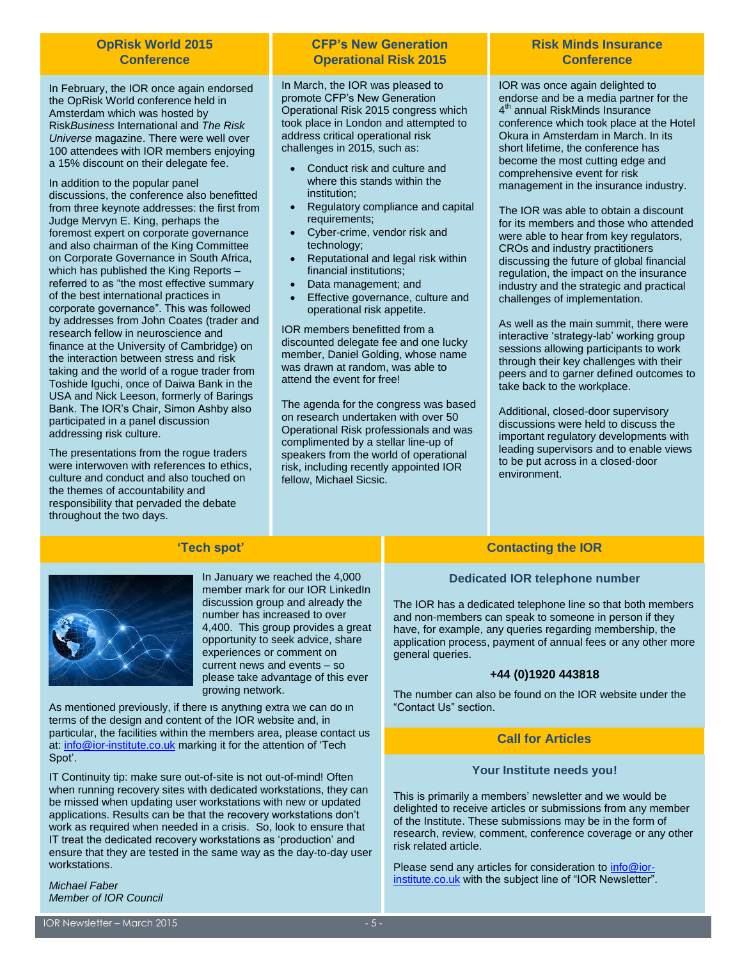#### **OpRisk World 2015 Conference**

In February, the IOR once again endorsed the OpRisk World conference held in Amsterdam which was hosted by Risk*Business* International and *The Risk Universe* magazine. There were well over 100 attendees with IOR members enjoying a 15% discount on their delegate fee.

In addition to the popular panel discussions, the conference also benefitted from three keynote addresses: the first from Judge Mervyn E. King, perhaps the foremost expert on corporate governance and also chairman of the King Committee on Corporate Governance in South Africa, which has published the King Reports referred to as "the most effective summary of the best international practices in corporate governance". This was followed by addresses from John Coates (trader and research fellow in neuroscience and finance at the University of Cambridge) on the interaction between stress and risk taking and the world of a rogue trader from Toshide Iguchi, once of Daiwa Bank in the USA and Nick Leeson, formerly of Barings Bank. The IOR's Chair, Simon Ashby also participated in a panel discussion addressing risk culture.

The presentations from the rogue traders were interwoven with references to ethics, culture and conduct and also touched on the themes of accountability and responsibility that pervaded the debate throughout the two days.

#### **CFP's New Generation Operational Risk 2015**

In March, the IOR was pleased to promote CFP's New Generation Operational Risk 2015 congress which took place in London and attempted to address critical operational risk challenges in 2015, such as:

- Conduct risk and culture and where this stands within the institution;
- Regulatory compliance and capital requirements;
- Cyber-crime, vendor risk and technology;
- Reputational and legal risk within financial institutions;
- Data management; and
- Effective governance, culture and operational risk appetite.

IOR members benefitted from a discounted delegate fee and one lucky member, Daniel Golding, whose name was drawn at random, was able to attend the event for free!

The agenda for the congress was based on research undertaken with over 50 Operational Risk professionals and was complimented by a stellar line-up of speakers from the world of operational risk, including recently appointed IOR fellow, Michael Sicsic.

#### **Risk Minds Insurance Conference**

IOR was once again delighted to endorse and be a media partner for the 4<sup>th</sup> annual RiskMinds Insurance conference which took place at the Hotel Okura in Amsterdam in March. In its short lifetime, the conference has become the most cutting edge and comprehensive event for risk management in the insurance industry.

The IOR was able to obtain a discount for its members and those who attended were able to hear from key regulators, CROs and industry practitioners discussing the future of global financial regulation, the impact on the insurance industry and the strategic and practical challenges of implementation.

As well as the main summit, there were interactive 'strategy-lab' working group sessions allowing participants to work through their key challenges with their peers and to garner defined outcomes to take back to the workplace.

Additional, closed-door supervisory discussions were held to discuss the important regulatory developments with leading supervisors and to enable views to be put across in a closed-door environment.

### **'Tech spot'**



In January we reached the 4,000 member mark for our IOR LinkedIn discussion group and already the number has increased to over 4,400. This group provides a great opportunity to seek advice, share experiences or comment on current news and events – so please take advantage of this ever growing network.

As mentioned previously, if there is anything extra we can do in terms of the design and content of the IOR website and, in particular, the facilities within the members area, please contact us at: [info@ior-institute.co.uk](mailto:info@ior-institute.co.uk) marking it for the attention of 'Tech Spot'.

IT Continuity tip: make sure out-of-site is not out-of-mind! Often when running recovery sites with dedicated workstations, they can be missed when updating user workstations with new or updated applications. Results can be that the recovery workstations don't work as required when needed in a crisis. So, look to ensure that IT treat the dedicated recovery workstations as 'production' and ensure that they are tested in the same way as the day-to-day user workstations.

*Michael Faber Member of IOR Council*

#### **Contacting the IOR**

#### **Dedicated IOR telephone number**

The IOR has a dedicated telephone line so that both members and non-members can speak to someone in person if they have, for example, any queries regarding membership, the application process, payment of annual fees or any other more general queries.

#### **+44 (0)1920 443818**

The number can also be found on the IOR website under the "Contact Us" section.

#### **Call for Articles**

#### **Your Institute needs you!**

This is primarily a members' newsletter and we would be delighted to receive articles or submissions from any member of the Institute. These submissions may be in the form of research, review, comment, conference coverage or any other risk related article.

Please send any articles for consideration to [info@ior](mailto:info@ior-institute.co.uk)[institute.co.uk](mailto:info@ior-institute.co.uk) with the subject line of "IOR Newsletter".